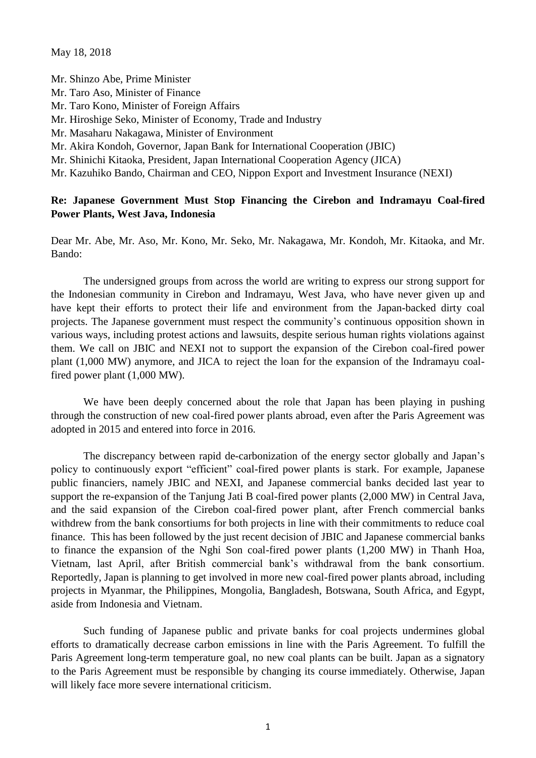May 18, 2018

Mr. Shinzo Abe, Prime Minister Mr. Taro Aso, Minister of Finance Mr. Taro Kono, Minister of Foreign Affairs Mr. Hiroshige Seko, Minister of Economy, Trade and Industry Mr. Masaharu Nakagawa, Minister of Environment Mr. Akira Kondoh, Governor, Japan Bank for International Cooperation (JBIC) Mr. Shinichi Kitaoka, President, Japan International Cooperation Agency (JICA) Mr. Kazuhiko Bando, Chairman and CEO, Nippon Export and Investment Insurance (NEXI)

## **Re: Japanese Government Must Stop Financing the Cirebon and Indramayu Coal-fired Power Plants, West Java, Indonesia**

Dear Mr. Abe, Mr. Aso, Mr. Kono, Mr. Seko, Mr. Nakagawa, Mr. Kondoh, Mr. Kitaoka, and Mr. Bando:

The undersigned groups from across the world are writing to express our strong support for the Indonesian community in Cirebon and Indramayu, West Java, who have never given up and have kept their efforts to protect their life and environment from the Japan-backed dirty coal projects. The Japanese government must respect the community's continuous opposition shown in various ways, including protest actions and lawsuits, despite serious human rights violations against them. We call on JBIC and NEXI not to support the expansion of the Cirebon coal-fired power plant (1,000 MW) anymore, and JICA to reject the loan for the expansion of the Indramayu coalfired power plant (1,000 MW).

We have been deeply concerned about the role that Japan has been playing in pushing through the construction of new coal-fired power plants abroad, even after the Paris Agreement was adopted in 2015 and entered into force in 2016.

The discrepancy between rapid de-carbonization of the energy sector globally and Japan's policy to continuously export "efficient" coal-fired power plants is stark. For example, Japanese public financiers, namely JBIC and NEXI, and Japanese commercial banks decided last year to support the re-expansion of the Tanjung Jati B coal-fired power plants (2,000 MW) in Central Java, and the said expansion of the Cirebon coal-fired power plant, after French commercial banks withdrew from the bank consortiums for both projects in line with their commitments to reduce coal finance. This has been followed by the just recent decision of JBIC and Japanese commercial banks to finance the expansion of the Nghi Son coal-fired power plants (1,200 MW) in Thanh Hoa, Vietnam, last April, after British commercial bank's withdrawal from the bank consortium. Reportedly, Japan is planning to get involved in more new coal-fired power plants abroad, including projects in Myanmar, the Philippines, Mongolia, Bangladesh, Botswana, South Africa, and Egypt, aside from Indonesia and Vietnam.

Such funding of Japanese public and private banks for coal projects undermines global efforts to dramatically decrease carbon emissions in line with the Paris Agreement. To fulfill the Paris Agreement long-term temperature goal, no new coal plants can be built. Japan as a signatory to the Paris Agreement must be responsible by changing its course immediately. Otherwise, Japan will likely face more severe international criticism.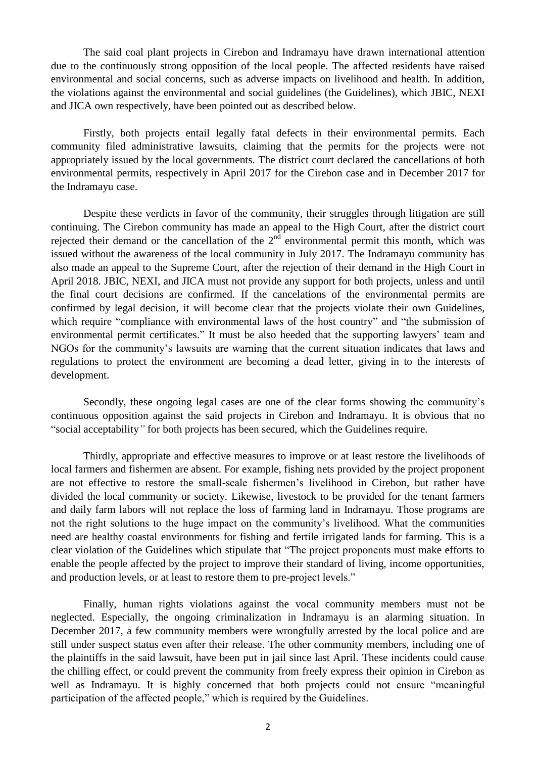The said coal plant projects in Cirebon and Indramayu have drawn international attention due to the continuously strong opposition of the local people. The affected residents have raised environmental and social concerns, such as adverse impacts on livelihood and health. In addition, the violations against the environmental and social guidelines (the Guidelines), which JBIC, NEXI and JICA own respectively, have been pointed out as described below.

Firstly, both projects entail legally fatal defects in their environmental permits. Each community filed administrative lawsuits, claiming that the permits for the projects were not appropriately issued by the local governments. The district court declared the cancellations of both environmental permits, respectively in April 2017 for the Cirebon case and in December 2017 for the Indramayu case.

Despite these verdicts in favor of the community, their struggles through litigation are still continuing. The Cirebon community has made an appeal to the High Court, after the district court rejected their demand or the cancellation of the  $2<sup>nd</sup>$  environmental permit this month, which was issued without the awareness of the local community in July 2017. The Indramayu community has also made an appeal to the Supreme Court, after the rejection of their demand in the High Court in April 2018. JBIC, NEXI, and JICA must not provide any support for both projects, unless and until the final court decisions are confirmed. If the cancelations of the environmental permits are confirmed by legal decision, it will become clear that the projects violate their own Guidelines, which require "compliance with environmental laws of the host country" and "the submission of environmental permit certificates." It must be also heeded that the supporting lawyers' team and NGOs for the community's lawsuits are warning that the current situation indicates that laws and regulations to protect the environment are becoming a dead letter, giving in to the interests of development.

Secondly, these ongoing legal cases are one of the clear forms showing the community's continuous opposition against the said projects in Cirebon and Indramayu. It is obvious that no "social acceptability*"* for both projects has been secured, which the Guidelines require.

Thirdly, appropriate and effective measures to improve or at least restore the livelihoods of local farmers and fishermen are absent. For example, fishing nets provided by the project proponent are not effective to restore the small-scale fishermen's livelihood in Cirebon, but rather have divided the local community or society. Likewise, livestock to be provided for the tenant farmers and daily farm labors will not replace the loss of farming land in Indramayu. Those programs are not the right solutions to the huge impact on the community's livelihood. What the communities need are healthy coastal environments for fishing and fertile irrigated lands for farming. This is a clear violation of the Guidelines which stipulate that "The project proponents must make efforts to enable the people affected by the project to improve their standard of living, income opportunities, and production levels, or at least to restore them to pre-project levels."

Finally, human rights violations against the vocal community members must not be neglected. Especially, the ongoing criminalization in Indramayu is an alarming situation. In December 2017, a few community members were wrongfully arrested by the local police and are still under suspect status even after their release. The other community members, including one of the plaintiffs in the said lawsuit, have been put in jail since last April. These incidents could cause the chilling effect, or could prevent the community from freely express their opinion in Cirebon as well as Indramayu. It is highly concerned that both projects could not ensure "meaningful participation of the affected people," which is required by the Guidelines.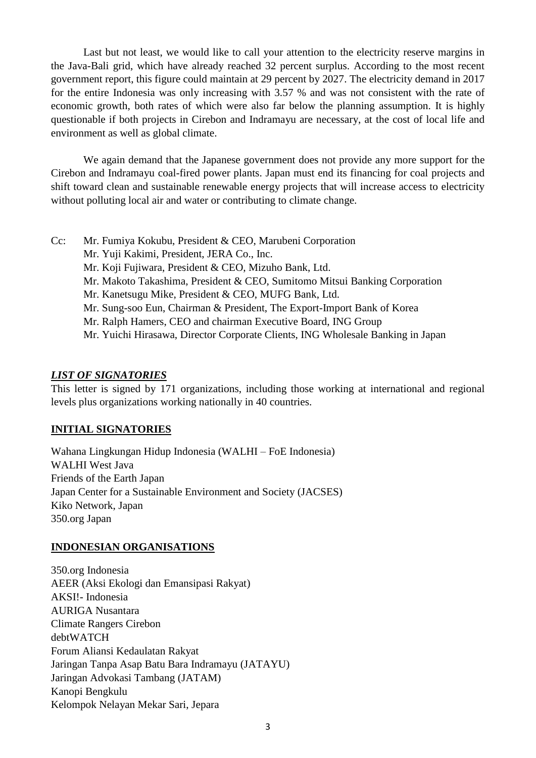Last but not least, we would like to call your attention to the electricity reserve margins in the Java-Bali grid, which have already reached 32 percent surplus. According to the most recent government report, this figure could maintain at 29 percent by 2027. The electricity demand in 2017 for the entire Indonesia was only increasing with 3.57 % and was not consistent with the rate of economic growth, both rates of which were also far below the planning assumption. It is highly questionable if both projects in Cirebon and Indramayu are necessary, at the cost of local life and environment as well as global climate.

We again demand that the Japanese government does not provide any more support for the Cirebon and Indramayu coal-fired power plants. Japan must end its financing for coal projects and shift toward clean and sustainable renewable energy projects that will increase access to electricity without polluting local air and water or contributing to climate change.

- Cc: Mr. Fumiya Kokubu, President & CEO, Marubeni Corporation
	- Mr. Yuji Kakimi, President, JERA Co., Inc.
	- Mr. Koji Fujiwara, President & CEO, Mizuho Bank, Ltd.
	- Mr. Makoto Takashima, President & CEO, Sumitomo Mitsui Banking Corporation
	- Mr. Kanetsugu Mike, President & CEO, MUFG Bank, Ltd.
	- Mr. Sung-soo Eun, Chairman & President, The Export-Import Bank of Korea
	- Mr. Ralph Hamers, CEO and chairman Executive Board, ING Group
	- Mr. Yuichi Hirasawa, Director Corporate Clients, ING Wholesale Banking in Japan

### *LIST OF SIGNATORIES*

This letter is signed by 171 organizations, including those working at international and regional levels plus organizations working nationally in 40 countries.

## **INITIAL SIGNATORIES**

Wahana Lingkungan Hidup Indonesia (WALHI – FoE Indonesia) WALHI West Java Friends of the Earth Japan Japan Center for a Sustainable Environment and Society (JACSES) Kiko Network, Japan 350.org Japan

#### **INDONESIAN ORGANISATIONS**

350.org Indonesia AEER (Aksi Ekologi dan Emansipasi Rakyat) AKSI!- Indonesia AURIGA Nusantara Climate Rangers Cirebon debtWATCH Forum Aliansi Kedaulatan Rakyat Jaringan Tanpa Asap Batu Bara Indramayu (JATAYU) Jaringan Advokasi Tambang (JATAM) Kanopi Bengkulu Kelompok Nelayan Mekar Sari, Jepara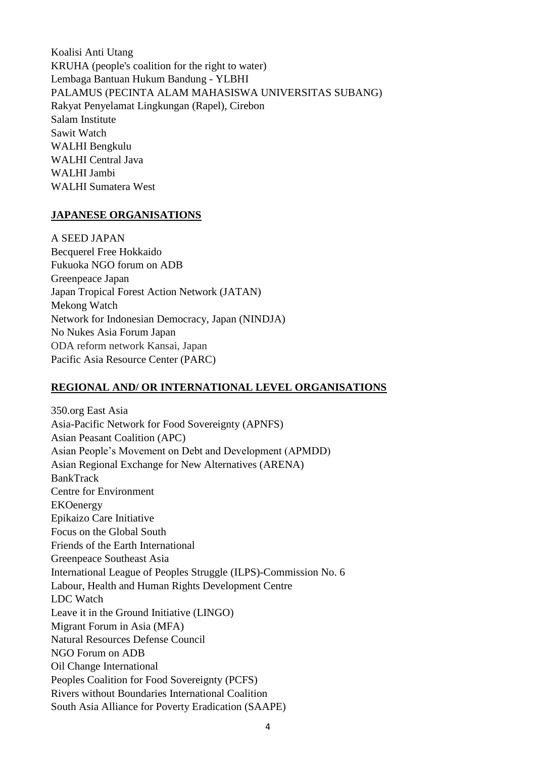Koalisi Anti Utang KRUHA (people's coalition for the right to water) Lembaga Bantuan Hukum Bandung - YLBHI PALAMUS (PECINTA ALAM MAHASISWA UNIVERSITAS SUBANG) Rakyat Penyelamat Lingkungan (Rapel), Cirebon Salam Institute Sawit Watch WALHI Bengkulu WALHI Central Java WALHI Jambi WALHI Sumatera West

#### **JAPANESE ORGANISATIONS**

A SEED JAPAN Becquerel Free Hokkaido Fukuoka NGO forum on ADB Greenpeace Japan Japan Tropical Forest Action Network (JATAN) Mekong Watch Network for Indonesian Democracy, Japan (NINDJA) No Nukes Asia Forum Japan ODA reform network Kansai, Japan Pacific Asia Resource Center (PARC)

## **REGIONAL AND/ OR INTERNATIONAL LEVEL ORGANISATIONS**

350.org East Asia Asia-Pacific Network for Food Sovereignty (APNFS) Asian Peasant Coalition (APC) Asian People's Movement on Debt and Development (APMDD) Asian Regional Exchange for New Alternatives (ARENA) BankTrack Centre for Environment EKOenergy Epikaizo Care Initiative Focus on the Global South Friends of the Earth International Greenpeace Southeast Asia International League of Peoples Struggle (ILPS)-Commission No. 6 Labour, Health and Human Rights Development Centre LDC Watch Leave it in the Ground Initiative (LINGO) Migrant Forum in Asia (MFA) Natural Resources Defense Council NGO Forum on ADB Oil Change International Peoples Coalition for Food Sovereignty (PCFS) Rivers without Boundaries International Coalition South Asia Alliance for Poverty Eradication (SAAPE)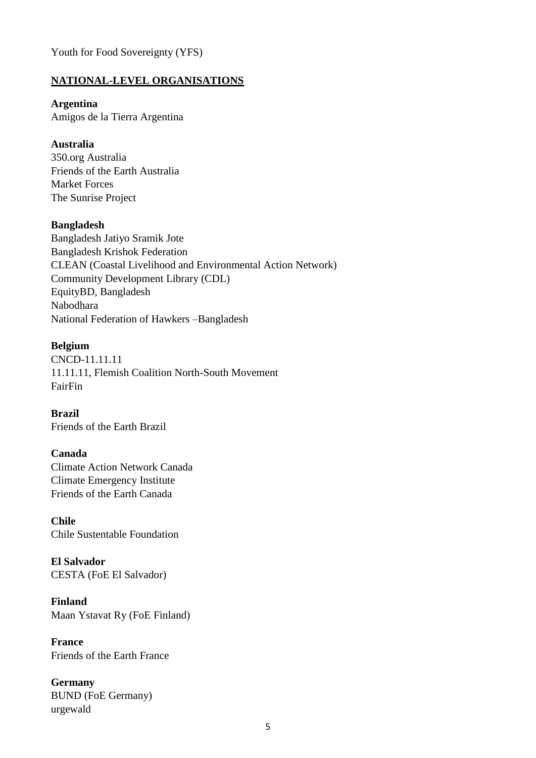Youth for Food Sovereignty (YFS)

### **NATIONAL-LEVEL ORGANISATIONS**

#### **Argentina**

Amigos de la Tierra Argentina

### **Australia**

350.org Australia Friends of the Earth Australia Market Forces The Sunrise Project

#### **Bangladesh**

Bangladesh Jatiyo Sramik Jote Bangladesh Krishok Federation CLEAN (Coastal Livelihood and Environmental Action Network) Community Development Library (CDL) EquityBD, Bangladesh Nabodhara National Federation of Hawkers –Bangladesh

#### **Belgium**

CNCD-11.11.11 11.11.11, Flemish Coalition North-South Movement FairFin

**Brazil** Friends of the Earth Brazil

#### **Canada**

Climate Action Network Canada Climate Emergency Institute Friends of the Earth Canada

**Chile** Chile Sustentable Foundation

**El Salvador** CESTA (FoE El Salvador)

**Finland** Maan Ystavat Ry (FoE Finland)

**France** Friends of the Earth France

**Germany** BUND (FoE Germany) urgewald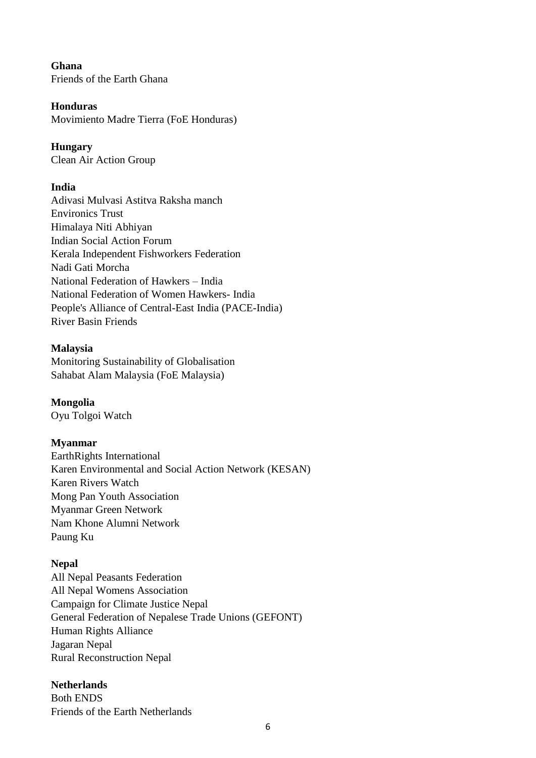**Ghana** Friends of the Earth Ghana

## **Honduras**

Movimiento Madre Tierra (FoE Honduras)

## **Hungary**

Clean Air Action Group

## **India**

Adivasi Mulvasi Astitva Raksha manch Environics Trust Himalaya Niti Abhiyan Indian Social Action Forum Kerala Independent Fishworkers Federation Nadi Gati Morcha National Federation of Hawkers – India National Federation of Women Hawkers- India People's Alliance of Central-East India (PACE-India) River Basin Friends

## **Malaysia**

Monitoring Sustainability of Globalisation Sahabat Alam Malaysia (FoE Malaysia)

**Mongolia** Oyu Tolgoi Watch

## **Myanmar**

EarthRights International Karen Environmental and Social Action Network (KESAN) Karen Rivers Watch Mong Pan Youth Association Myanmar Green Network Nam Khone Alumni Network Paung Ku

## **Nepal**

All Nepal Peasants Federation All Nepal Womens Association Campaign for Climate Justice Nepal General Federation of Nepalese Trade Unions (GEFONT) Human Rights Alliance Jagaran Nepal Rural Reconstruction Nepal

## **Netherlands**

Both ENDS Friends of the Earth Netherlands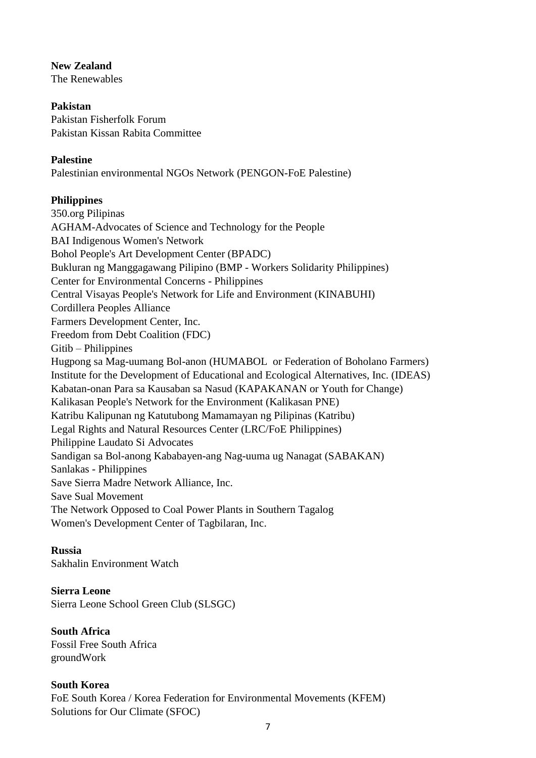#### **New Zealand**

The Renewables

## **Pakistan**

Pakistan Fisherfolk Forum Pakistan Kissan Rabita Committee

## **Palestine**

Palestinian environmental NGOs Network (PENGON-FoE Palestine)

## **Philippines**

350.org Pilipinas AGHAM-Advocates of Science and Technology for the People BAI Indigenous Women's Network Bohol People's Art Development Center (BPADC) Bukluran ng Manggagawang Pilipino (BMP - Workers Solidarity Philippines) Center for Environmental Concerns - Philippines Central Visayas People's Network for Life and Environment (KINABUHI) Cordillera Peoples Alliance Farmers Development Center, Inc. Freedom from Debt Coalition (FDC) Gitib – Philippines Hugpong sa Mag-uumang Bol-anon (HUMABOL or Federation of Boholano Farmers) Institute for the Development of Educational and Ecological Alternatives, Inc. (IDEAS) Kabatan-onan Para sa Kausaban sa Nasud (KAPAKANAN or Youth for Change) Kalikasan People's Network for the Environment (Kalikasan PNE) Katribu Kalipunan ng Katutubong Mamamayan ng Pilipinas (Katribu) Legal Rights and Natural Resources Center (LRC/FoE Philippines) Philippine Laudato Si Advocates Sandigan sa Bol-anong Kababayen-ang Nag-uuma ug Nanagat (SABAKAN) Sanlakas - Philippines Save Sierra Madre Network Alliance, Inc. Save Sual Movement The Network Opposed to Coal Power Plants in Southern Tagalog Women's Development Center of Tagbilaran, Inc.

## **Russia**

Sakhalin Environment Watch

## **Sierra Leone**

Sierra Leone School Green Club (SLSGC)

**South Africa** Fossil Free South Africa groundWork

## **South Korea** FoE South Korea / Korea Federation for Environmental Movements (KFEM) Solutions for Our Climate (SFOC)